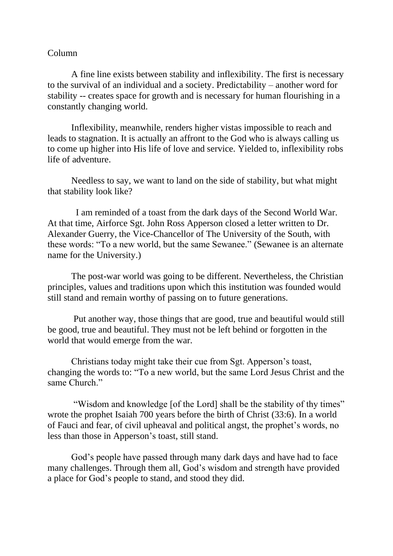## Column

A fine line exists between stability and inflexibility. The first is necessary to the survival of an individual and a society. Predictability – another word for stability -- creates space for growth and is necessary for human flourishing in a constantly changing world.

Inflexibility, meanwhile, renders higher vistas impossible to reach and leads to stagnation. It is actually an affront to the God who is always calling us to come up higher into His life of love and service. Yielded to, inflexibility robs life of adventure.

Needless to say, we want to land on the side of stability, but what might that stability look like?

 I am reminded of a toast from the dark days of the Second World War. At that time, Airforce Sgt. John Ross Apperson closed a letter written to Dr. Alexander Guerry, the Vice-Chancellor of The University of the South, with these words: "To a new world, but the same Sewanee." (Sewanee is an alternate name for the University.)

The post-war world was going to be different. Nevertheless, the Christian principles, values and traditions upon which this institution was founded would still stand and remain worthy of passing on to future generations.

Put another way, those things that are good, true and beautiful would still be good, true and beautiful. They must not be left behind or forgotten in the world that would emerge from the war.

Christians today might take their cue from Sgt. Apperson's toast, changing the words to: "To a new world, but the same Lord Jesus Christ and the same Church."

"Wisdom and knowledge [of the Lord] shall be the stability of thy times" wrote the prophet Isaiah 700 years before the birth of Christ (33:6). In a world of Fauci and fear, of civil upheaval and political angst, the prophet's words, no less than those in Apperson's toast, still stand.

God's people have passed through many dark days and have had to face many challenges. Through them all, God's wisdom and strength have provided a place for God's people to stand, and stood they did.